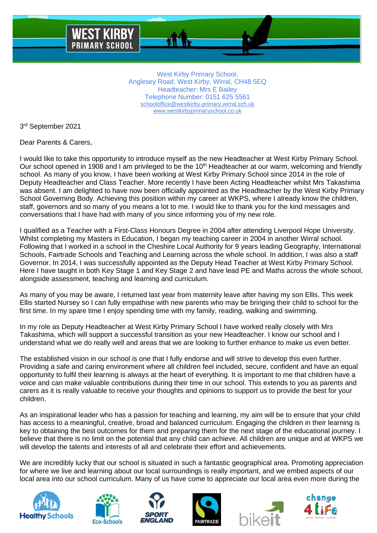

West Kirby Primary School, Anglesey Road, West Kirby, Wirral, CH48 5EQ Headteacher: Mrs E Bailey Telephone Number: 0151 625 5561 [schooloffice@westkirby-primary.wirral.sch.uk](mailto:schooloffice@westkirby-primary.wirral.sch.uk) [www.westkirbyprimaryschool.co.uk](http://www.westkirbyprimaryschool.co.uk/)

3 rd September 2021

Dear Parents & Carers,

I would like to take this opportunity to introduce myself as the new Headteacher at West Kirby Primary School. Our school opened in 1908 and I am privileged to be the 10<sup>th</sup> Headteacher at our warm, welcoming and friendly school. As many of you know, I have been working at West Kirby Primary School since 2014 in the role of Deputy Headteacher and Class Teacher. More recently I have been Acting Headteacher whilst Mrs Takashima was absent. I am delighted to have now been officially appointed as the Headteacher by the West Kirby Primary School Governing Body. Achieving this position within my career at WKPS, where I already know the children, staff, governors and so many of you means a lot to me. I would like to thank you for the kind messages and conversations that I have had with many of you since informing you of my new role.

I qualified as a Teacher with a First-Class Honours Degree in 2004 after attending Liverpool Hope University. Whilst completing my Masters in Education, I began my teaching career in 2004 in another Wirral school. Following that I worked in a school in the Cheshire Local Authority for 9 years leading Geography, International Schools, Fairtrade Schools and Teaching and Learning across the whole school. In addition, I was also a staff Governor. In 2014, I was successfully appointed as the Deputy Head Teacher at West Kirby Primary School. Here I have taught in both Key Stage 1 and Key Stage 2 and have lead PE and Maths across the whole school, alongside assessment, teaching and learning and curriculum.

As many of you may be aware, I returned last year from maternity leave after having my son Ellis. This week Ellis started Nursey so I can fully empathise with new parents who may be bringing their child to school for the first time. In my spare time I enjoy spending time with my family, reading, walking and swimming.

In my role as Deputy Headteacher at West Kirby Primary School I have worked really closely with Mrs Takashima, which will support a successful transition as your new Headteacher. I know our school and I understand what we do really well and areas that we are looking to further enhance to make us even better.

The established vision in our school is one that I fully endorse and will strive to develop this even further. Providing a safe and caring environment where all children feel included, secure, confident and have an equal opportunity to fulfil their learning is always at the heart of everything. It is important to me that children have a voice and can make valuable contributions during their time in our school. This extends to you as parents and carers as it is really valuable to receive your thoughts and opinions to support us to provide the best for your children.

As an inspirational leader who has a passion for teaching and learning, my aim will be to ensure that your child has access to a meaningful, creative, broad and balanced curriculum. Engaging the children in their learning is key to obtaining the best outcomes for them and preparing them for the next stage of the educational journey. I believe that there is no limit on the potential that any child can achieve. All children are unique and at WKPS we will develop the talents and interests of all and celebrate their effort and achievements.

We are incredibly lucky that our school is situated in such a fantastic geographical area. Promoting appreciation for where we live and learning about our local surroundings is really important, and we embed aspects of our local area into our school curriculum. Many of us have come to appreciate our local area even more during the